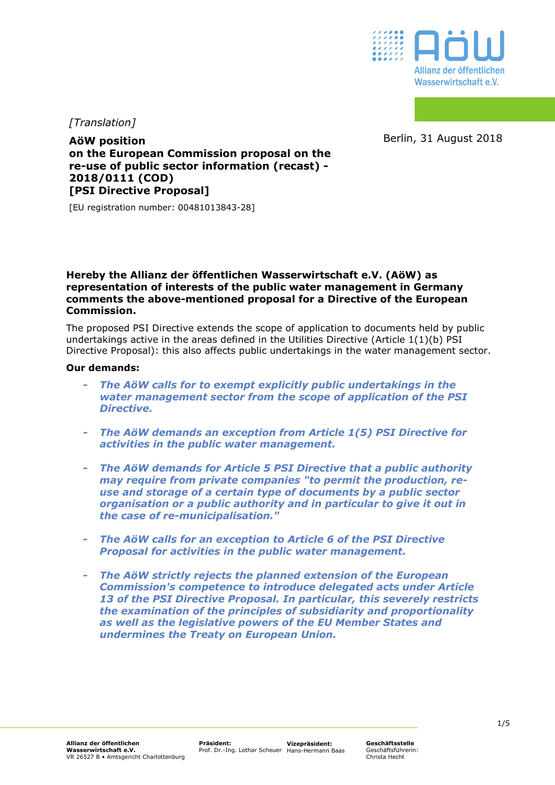

*[Translation]*

Berlin, 31 August 2018

**AöW position on the European Commission proposal on the re-use of public sector information (recast) - 2018/0111 (COD) [PSI Directive Proposal]** 

[EU registration number: 00481013843-28]

# **Hereby the Allianz der öffentlichen Wasserwirtschaft e.V. (AöW) as representation of interests of the public water management in Germany comments the above-mentioned proposal for a Directive of the European Commission.**

The proposed PSI Directive extends the scope of application to documents held by public undertakings active in the areas defined in the Utilities Directive (Article 1(1)(b) PSI Directive Proposal): this also affects public undertakings in the water management sector.

### **Our demands:**

- *The AöW calls for to exempt explicitly public undertakings in the water management sector from the scope of application of the PSI Directive.*
- *The AöW demands an exception from Article 1(5) PSI Directive for activities in the public water management.*
- *The AöW demands for Article 5 PSI Directive that a public authority may require from private companies "to permit the production, reuse and storage of a certain type of documents by a public sector organisation or a public authority and in particular to give it out in the case of re-municipalisation."*
- *The AöW calls for an exception to Article 6 of the PSI Directive Proposal for activities in the public water management.*
- *The AöW strictly rejects the planned extension of the European Commission's competence to introduce delegated acts under Article 13 of the PSI Directive Proposal. In particular, this severely restricts the examination of the principles of subsidiarity and proportionality as well as the legislative powers of the EU Member States and undermines the Treaty on European Union.*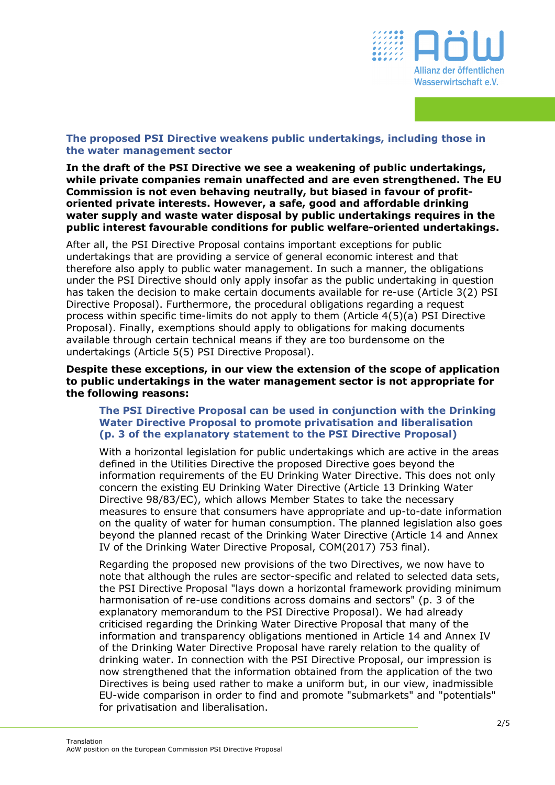

# **The proposed PSI Directive weakens public undertakings, including those in the water management sector**

**In the draft of the PSI Directive we see a weakening of public undertakings, while private companies remain unaffected and are even strengthened. The EU Commission is not even behaving neutrally, but biased in favour of profitoriented private interests. However, a safe, good and affordable drinking water supply and waste water disposal by public undertakings requires in the public interest favourable conditions for public welfare-oriented undertakings.** 

After all, the PSI Directive Proposal contains important exceptions for public undertakings that are providing a service of general economic interest and that therefore also apply to public water management. In such a manner, the obligations under the PSI Directive should only apply insofar as the public undertaking in question has taken the decision to make certain documents available for re-use (Article 3(2) PSI Directive Proposal). Furthermore, the procedural obligations regarding a request process within specific time-limits do not apply to them (Article 4(5)(a) PSI Directive Proposal). Finally, exemptions should apply to obligations for making documents available through certain technical means if they are too burdensome on the undertakings (Article 5(5) PSI Directive Proposal).

### **Despite these exceptions, in our view the extension of the scope of application to public undertakings in the water management sector is not appropriate for the following reasons:**

# **The PSI Directive Proposal can be used in conjunction with the Drinking Water Directive Proposal to promote privatisation and liberalisation (p. 3 of the explanatory statement to the PSI Directive Proposal)**

With a horizontal legislation for public undertakings which are active in the areas defined in the Utilities Directive the proposed Directive goes beyond the information requirements of the EU Drinking Water Directive. This does not only concern the existing EU Drinking Water Directive (Article 13 Drinking Water Directive 98/83/EC), which allows Member States to take the necessary measures to ensure that consumers have appropriate and up-to-date information on the quality of water for human consumption. The planned legislation also goes beyond the planned recast of the Drinking Water Directive (Article 14 and Annex IV of the Drinking Water Directive Proposal, COM(2017) 753 final).

Regarding the proposed new provisions of the two Directives, we now have to note that although the rules are sector-specific and related to selected data sets, the PSI Directive Proposal "lays down a horizontal framework providing minimum harmonisation of re-use conditions across domains and sectors" (p. 3 of the explanatory memorandum to the PSI Directive Proposal). We had already criticised regarding the Drinking Water Directive Proposal that many of the information and transparency obligations mentioned in Article 14 and Annex IV of the Drinking Water Directive Proposal have rarely relation to the quality of drinking water. In connection with the PSI Directive Proposal, our impression is now strengthened that the information obtained from the application of the two Directives is being used rather to make a uniform but, in our view, inadmissible EU-wide comparison in order to find and promote "submarkets" and "potentials" for privatisation and liberalisation.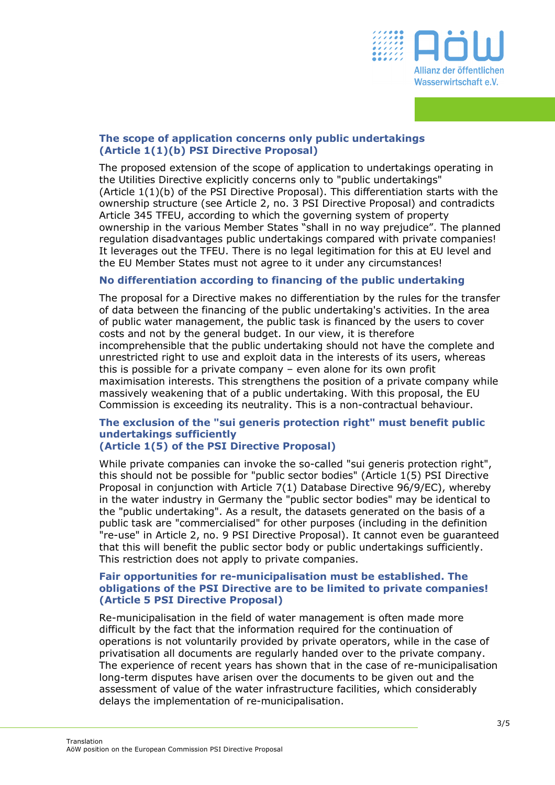

# **The scope of application concerns only public undertakings (Article 1(1)(b) PSI Directive Proposal)**

The proposed extension of the scope of application to undertakings operating in the Utilities Directive explicitly concerns only to "public undertakings" (Article 1(1)(b) of the PSI Directive Proposal). This differentiation starts with the ownership structure (see Article 2, no. 3 PSI Directive Proposal) and contradicts Article 345 TFEU, according to which the governing system of property ownership in the various Member States "shall in no way prejudice". The planned regulation disadvantages public undertakings compared with private companies! It leverages out the TFEU. There is no legal legitimation for this at EU level and the EU Member States must not agree to it under any circumstances!

# **No differentiation according to financing of the public undertaking**

The proposal for a Directive makes no differentiation by the rules for the transfer of data between the financing of the public undertaking's activities. In the area of public water management, the public task is financed by the users to cover costs and not by the general budget. In our view, it is therefore incomprehensible that the public undertaking should not have the complete and unrestricted right to use and exploit data in the interests of its users, whereas this is possible for a private company – even alone for its own profit maximisation interests. This strengthens the position of a private company while massively weakening that of a public undertaking. With this proposal, the EU Commission is exceeding its neutrality. This is a non-contractual behaviour.

### **The exclusion of the "sui generis protection right" must benefit public undertakings sufficiently (Article 1(5) of the PSI Directive Proposal)**

While private companies can invoke the so-called "sui generis protection right", this should not be possible for "public sector bodies" (Article 1(5) PSI Directive Proposal in conjunction with Article 7(1) Database Directive 96/9/EC), whereby in the water industry in Germany the "public sector bodies" may be identical to the "public undertaking". As a result, the datasets generated on the basis of a public task are "commercialised" for other purposes (including in the definition "re-use" in Article 2, no. 9 PSI Directive Proposal). It cannot even be guaranteed that this will benefit the public sector body or public undertakings sufficiently. This restriction does not apply to private companies.

### **Fair opportunities for re-municipalisation must be established. The obligations of the PSI Directive are to be limited to private companies! (Article 5 PSI Directive Proposal)**

Re-municipalisation in the field of water management is often made more difficult by the fact that the information required for the continuation of operations is not voluntarily provided by private operators, while in the case of privatisation all documents are regularly handed over to the private company. The experience of recent years has shown that in the case of re-municipalisation long-term disputes have arisen over the documents to be given out and the assessment of value of the water infrastructure facilities, which considerably delays the implementation of re-municipalisation.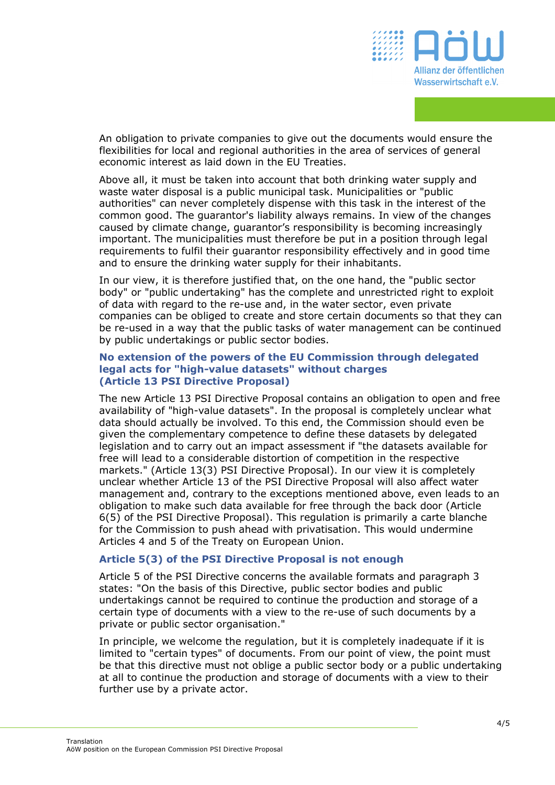

An obligation to private companies to give out the documents would ensure the flexibilities for local and regional authorities in the area of services of general economic interest as laid down in the EU Treaties.

Above all, it must be taken into account that both drinking water supply and waste water disposal is a public municipal task. Municipalities or "public authorities" can never completely dispense with this task in the interest of the common good. The guarantor's liability always remains. In view of the changes caused by climate change, guarantor's responsibility is becoming increasingly important. The municipalities must therefore be put in a position through legal requirements to fulfil their guarantor responsibility effectively and in good time and to ensure the drinking water supply for their inhabitants.

In our view, it is therefore justified that, on the one hand, the "public sector body" or "public undertaking" has the complete and unrestricted right to exploit of data with regard to the re-use and, in the water sector, even private companies can be obliged to create and store certain documents so that they can be re-used in a way that the public tasks of water management can be continued by public undertakings or public sector bodies.

# **No extension of the powers of the EU Commission through delegated legal acts for "high-value datasets" without charges (Article 13 PSI Directive Proposal)**

The new Article 13 PSI Directive Proposal contains an obligation to open and free availability of "high-value datasets". In the proposal is completely unclear what data should actually be involved. To this end, the Commission should even be given the complementary competence to define these datasets by delegated legislation and to carry out an impact assessment if "the datasets available for free will lead to a considerable distortion of competition in the respective markets." (Article 13(3) PSI Directive Proposal). In our view it is completely unclear whether Article 13 of the PSI Directive Proposal will also affect water management and, contrary to the exceptions mentioned above, even leads to an obligation to make such data available for free through the back door (Article 6(5) of the PSI Directive Proposal). This regulation is primarily a carte blanche for the Commission to push ahead with privatisation. This would undermine Articles 4 and 5 of the Treaty on European Union.

# **Article 5(3) of the PSI Directive Proposal is not enough**

Article 5 of the PSI Directive concerns the available formats and paragraph 3 states: "On the basis of this Directive, public sector bodies and public undertakings cannot be required to continue the production and storage of a certain type of documents with a view to the re-use of such documents by a private or public sector organisation."

In principle, we welcome the regulation, but it is completely inadequate if it is limited to "certain types" of documents. From our point of view, the point must be that this directive must not oblige a public sector body or a public undertaking at all to continue the production and storage of documents with a view to their further use by a private actor.